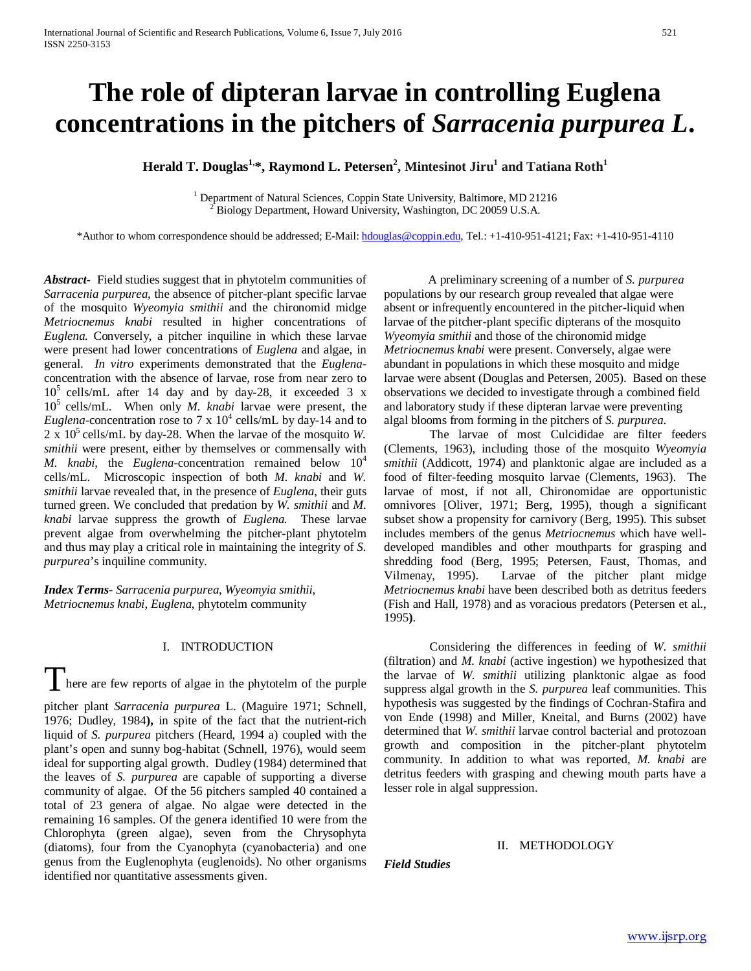# **The role of dipteran larvae in controlling Euglena concentrations in the pitchers of** *Sarracenia purpurea L***.**

# **Herald T. Douglas<sup>1,</sup>\*, Raymond L. Petersen<sup>2</sup>, Mintesinot Jiru<sup>1</sup> and Tatiana Roth<sup>1</sup>**

<sup>1</sup> Department of Natural Sciences, Coppin State University, Baltimore, MD 21216  $^{2}$  Biology Department, Howard University, Washington, DC 20059 U.S.A.

\*Author to whom correspondence should be addressed; E-Mail[: hdouglas@coppin.edu,](mailto:hdouglas@coppin.edu) Tel.: +1-410-951-4121; Fax: +1-410-951-4110

*Abstract***-** Field studies suggest that in phytotelm communities of *Sarracenia purpurea,* the absence of pitcher-plant specific larvae of the mosquito *Wyeomyia smithii* and the chironomid midge *Metriocnemus knabi* resulted in higher concentrations of *Euglena.* Conversely, a pitcher inquiline in which these larvae were present had lower concentrations of *Euglena* and algae, in general. *In vitro* experiments demonstrated that the *Euglena*concentration with the absence of larvae, rose from near zero to  $10^5$  cells/mL after 14 day and by day-28, it exceeded 3 x 105 cells/mL. When only *M. knabi* larvae were present, the *Euglena*-concentration rose to 7 x  $10^4$  cells/mL by day-14 and to  $2 \times 10^5$  cells/mL by day-28. When the larvae of the mosquito *W*. *smithii* were present, either by themselves or commensally with *M.* knabi, the *Euglena*-concentration remained below  $10^4$ cells/mL. Microscopic inspection of both *M. knabi* and *W. smithii* larvae revealed that, in the presence of *Euglena*, their guts turned green. We concluded that predation by *W. smithii* and *M. knabi* larvae suppress the growth of *Euglena.* These larvae prevent algae from overwhelming the pitcher-plant phytotelm and thus may play a critical role in maintaining the integrity of *S. purpurea*'s inquiline community.

*Index Terms*- *Sarracenia purpurea*, *Wyeomyia smithii*, *Metriocnemus knabi*, *Euglena*, phytotelm community

# I. INTRODUCTION

 $\int$  here are few reports of algae in the phytotelm of the purple

pitcher plant *Sarracenia purpurea* L. (Maguire 1971; Schnell, 1976; Dudley, 1984**),** in spite of the fact that the nutrient-rich liquid of *S. purpurea* pitchers (Heard, 1994 a) coupled with the plant's open and sunny bog-habitat (Schnell, 1976), would seem ideal for supporting algal growth. Dudley (1984) determined that the leaves of *S. purpurea* are capable of supporting a diverse community of algae. Of the 56 pitchers sampled 40 contained a total of 23 genera of algae. No algae were detected in the remaining 16 samples. Of the genera identified 10 were from the Chlorophyta (green algae), seven from the Chrysophyta (diatoms), four from the Cyanophyta (cyanobacteria) and one genus from the Euglenophyta (euglenoids). No other organisms identified nor quantitative assessments given.

A preliminary screening of a number of *S. purpurea* populations by our research group revealed that algae were absent or infrequently encountered in the pitcher-liquid when larvae of the pitcher-plant specific dipterans of the mosquito *Wyeomyia smithii* and those of the chironomid midge *Metriocnemus knabi* were present. Conversely, algae were abundant in populations in which these mosquito and midge larvae were absent (Douglas and Petersen, 2005). Based on these observations we decided to investigate through a combined field and laboratory study if these dipteran larvae were preventing algal blooms from forming in the pitchers of *S. purpurea*.

 The larvae of most Culcididae are filter feeders (Clements, 1963), including those of the mosquito *Wyeomyia smithii* (Addicott, 1974) and planktonic algae are included as a food of filter-feeding mosquito larvae (Clements, 1963). The larvae of most, if not all, Chironomidae are opportunistic omnivores [Oliver, 1971; Berg, 1995), though a significant subset show a propensity for carnivory (Berg, 1995). This subset includes members of the genus *Metriocnemus* which have welldeveloped mandibles and other mouthparts for grasping and shredding food (Berg, 1995; Petersen, Faust, Thomas, and Vilmenay, 1995). Larvae of the pitcher plant midge *Metriocnemus knabi* have been described both as detritus feeders (Fish and Hall, 1978) and as voracious predators (Petersen et al., 1995**)**.

 Considering the differences in feeding of *W*. *smithii* (filtration) and *M*. *knabi* (active ingestion) we hypothesized that the larvae of *W. smithii* utilizing planktonic algae as food suppress algal growth in the *S. purpurea* leaf communities. This hypothesis was suggested by the findings of Cochran-Stafira and von Ende (1998) and Miller, Kneital, and Burns (2002) have determined that *W. smithii* larvae control bacterial and protozoan growth and composition in the pitcher-plant phytotelm community. In addition to what was reported, *M. knabi* are detritus feeders with grasping and chewing mouth parts have a lesser role in algal suppression.

#### II. METHODOLOGY

*Field Studies*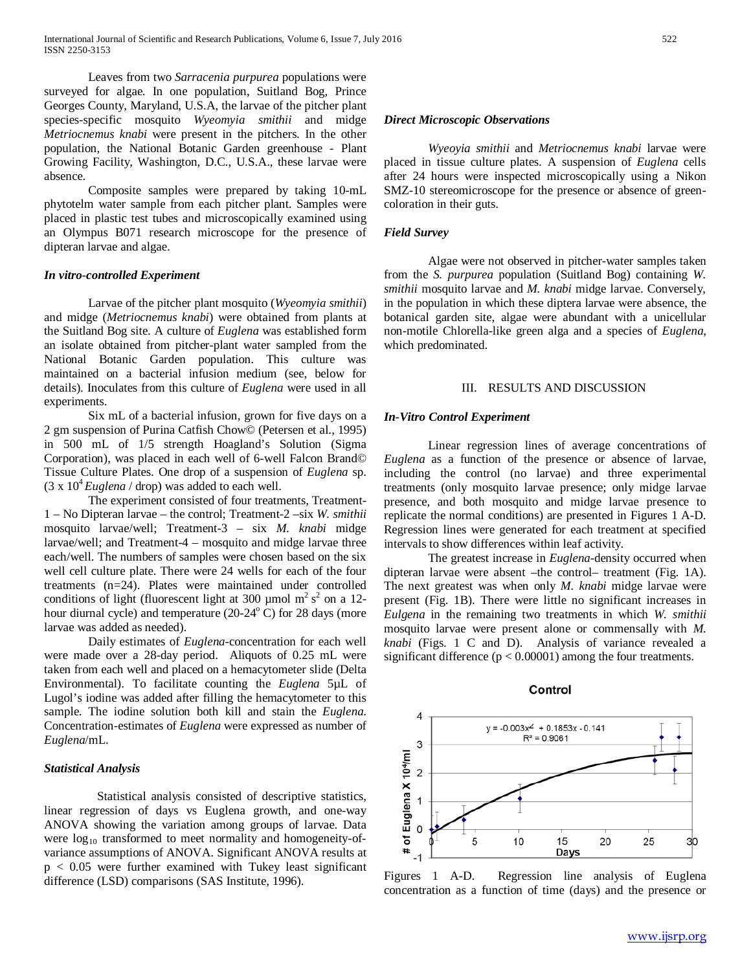Leaves from two *Sarracenia purpurea* populations were surveyed for algae. In one population, Suitland Bog, Prince Georges County, Maryland, U.S.A, the larvae of the pitcher plant species-specific mosquito *Wyeomyia smithii* and midge *Metriocnemus knabi* were present in the pitchers. In the other population, the National Botanic Garden greenhouse - Plant Growing Facility, Washington, D.C., U.S.A., these larvae were absence.

 Composite samples were prepared by taking 10-mL phytotelm water sample from each pitcher plant. Samples were placed in plastic test tubes and microscopically examined using an Olympus B071 research microscope for the presence of dipteran larvae and algae.

## *In vitro-controlled Experiment*

Larvae of the pitcher plant mosquito (*Wyeomyia smithii*) and midge (*Metriocnemus knabi*) were obtained from plants at the Suitland Bog site. A culture of *Euglena* was established form an isolate obtained from pitcher-plant water sampled from the National Botanic Garden population. This culture was maintained on a bacterial infusion medium (see, below for details). Inoculates from this culture of *Euglena* were used in all experiments.

 Six mL of a bacterial infusion, grown for five days on a 2 gm suspension of Purina Catfish Chow© (Petersen et al., 1995) in 500 mL of 1/5 strength Hoagland's Solution (Sigma Corporation), was placed in each well of 6-well Falcon Brand© Tissue Culture Plates. One drop of a suspension of *Euglena* sp.  $(3 \times 10^4$  *Euglena* / drop) was added to each well.

 The experiment consisted of four treatments, Treatment-1 – No Dipteran larvae – the control; Treatment-2 –six *W. smithii* mosquito larvae/well; Treatment-3 – six *M. knabi* midge larvae/well; and Treatment-4 – mosquito and midge larvae three each/well. The numbers of samples were chosen based on the six well cell culture plate. There were 24 wells for each of the four treatments (n=24). Plates were maintained under controlled conditions of light (fluorescent light at 300 µmol m<sup>2</sup> s<sup>2</sup> on a 12hour diurnal cycle) and temperature  $(20-24<sup>o</sup> C)$  for 28 days (more larvae was added as needed).

 Daily estimates of *Euglena*-concentration for each well were made over a 28-day period. Aliquots of 0.25 mL were taken from each well and placed on a hemacytometer slide (Delta Environmental). To facilitate counting the *Euglena* 5µL of Lugol's iodine was added after filling the hemacytometer to this sample. The iodine solution both kill and stain the *Euglena*. Concentration-estimates of *Euglena* were expressed as number of *Euglena*/mL.

### *Statistical Analysis*

 Statistical analysis consisted of descriptive statistics, linear regression of days vs Euglena growth, and one-way ANOVA showing the variation among groups of larvae. Data were  $log_{10}$  transformed to meet normality and homogeneity-ofvariance assumptions of ANOVA. Significant ANOVA results at  $p < 0.05$  were further examined with Tukey least significant difference (LSD) comparisons (SAS Institute, 1996).

#### *Direct Microscopic Observations*

*Wyeoyia smithii* and *Metriocnemus knabi* larvae were placed in tissue culture plates. A suspension of *Euglena* cells after 24 hours were inspected microscopically using a Nikon SMZ-10 stereomicroscope for the presence or absence of greencoloration in their guts.

#### *Field Survey*

 Algae were not observed in pitcher-water samples taken from the *S. purpurea* population (Suitland Bog) containing *W. smithii* mosquito larvae and *M. knabi* midge larvae. Conversely, in the population in which these diptera larvae were absence, the botanical garden site, algae were abundant with a unicellular non-motile Chlorella-like green alga and a species of *Euglena*, which predominated.

#### III. RESULTS AND DISCUSSION

#### *In-Vitro Control Experiment*

Linear regression lines of average concentrations of *Euglena* as a function of the presence or absence of larvae, including the control (no larvae) and three experimental treatments (only mosquito larvae presence; only midge larvae presence, and both mosquito and midge larvae presence to replicate the normal conditions) are presented in Figures 1 A-D. Regression lines were generated for each treatment at specified intervals to show differences within leaf activity.

 The greatest increase in *Euglena*-density occurred when dipteran larvae were absent –the control– treatment (Fig. 1A). The next greatest was when only *M. knabi* midge larvae were present (Fig. 1B). There were little no significant increases in *Eulgena* in the remaining two treatments in which *W. smithii* mosquito larvae were present alone or commensally with *M. knabi* (Figs. 1 C and D). Analysis of variance revealed a significant difference ( $p < 0.00001$ ) among the four treatments.



Figures 1 A-D. Regression line analysis of Euglena concentration as a function of time (days) and the presence or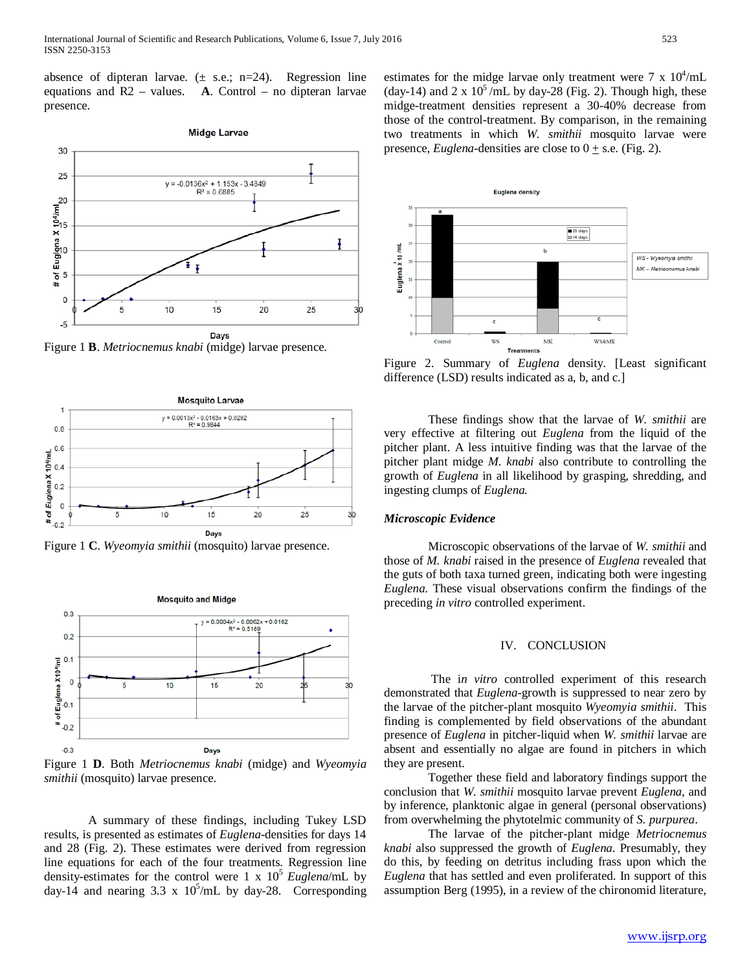absence of dipteran larvae.  $(\pm \text{ s.e.}; \text{ n=24}).$  Regression line equations and R2 – values. **A**. Control – no dipteran larvae presence.



Figure 1 **B**. *Metriocnemus knabi* (midge) larvae presence.







Figure 1 **D**. Both *Metriocnemus knabi* (midge) and *Wyeomyia smithii* (mosquito) larvae presence.

 A summary of these findings, including Tukey LSD results, is presented as estimates of *Euglena*-densities for days 14 and 28 (Fig. 2). These estimates were derived from regression line equations for each of the four treatments. Regression line density-estimates for the control were 1 x  $10^5$  *Euglena*/mL by day-14 and nearing 3.3 x  $10^5$ /mL by day-28. Corresponding

estimates for the midge larvae only treatment were  $7 \times 10^4$ /mL (day-14) and 2 x  $10^5$ /mL by day-28 (Fig. 2). Though high, these midge-treatment densities represent a 30-40% decrease from those of the control-treatment. By comparison, in the remaining two treatments in which *W. smithii* mosquito larvae were presence, *Euglena*-densities are close to  $0 + s.e.$  (Fig. 2).



Figure 2. Summary of *Euglena* density. [Least significant difference (LSD) results indicated as a, b, and c.]

These findings show that the larvae of *W. smithii* are very effective at filtering out *Euglena* from the liquid of the pitcher plant. A less intuitive finding was that the larvae of the pitcher plant midge *M. knabi* also contribute to controlling the growth of *Euglena* in all likelihood by grasping, shredding, and ingesting clumps of *Euglena.*

#### *Microscopic Evidence*

Microscopic observations of the larvae of *W. smithii* and those of *M. knabi* raised in the presence of *Euglena* revealed that the guts of both taxa turned green, indicating both were ingesting *Euglena*. These visual observations confirm the findings of the preceding *in vitro* controlled experiment.

#### IV. CONCLUSION

 The i*n vitro* controlled experiment of this research demonstrated that *Euglena*-growth is suppressed to near zero by the larvae of the pitcher-plant mosquito *Wyeomyia smithii*. This finding is complemented by field observations of the abundant presence of *Euglena* in pitcher-liquid when *W. smithii* larvae are absent and essentially no algae are found in pitchers in which they are present.

 Together these field and laboratory findings support the conclusion that *W. smithii* mosquito larvae prevent *Euglena*, and by inference, planktonic algae in general (personal observations) from overwhelming the phytotelmic community of *S. purpurea*.

 The larvae of the pitcher-plant midge *Metriocnemus knabi* also suppressed the growth of *Euglena*. Presumably, they do this, by feeding on detritus including frass upon which the *Euglena* that has settled and even proliferated. In support of this assumption Berg (1995), in a review of the chironomid literature,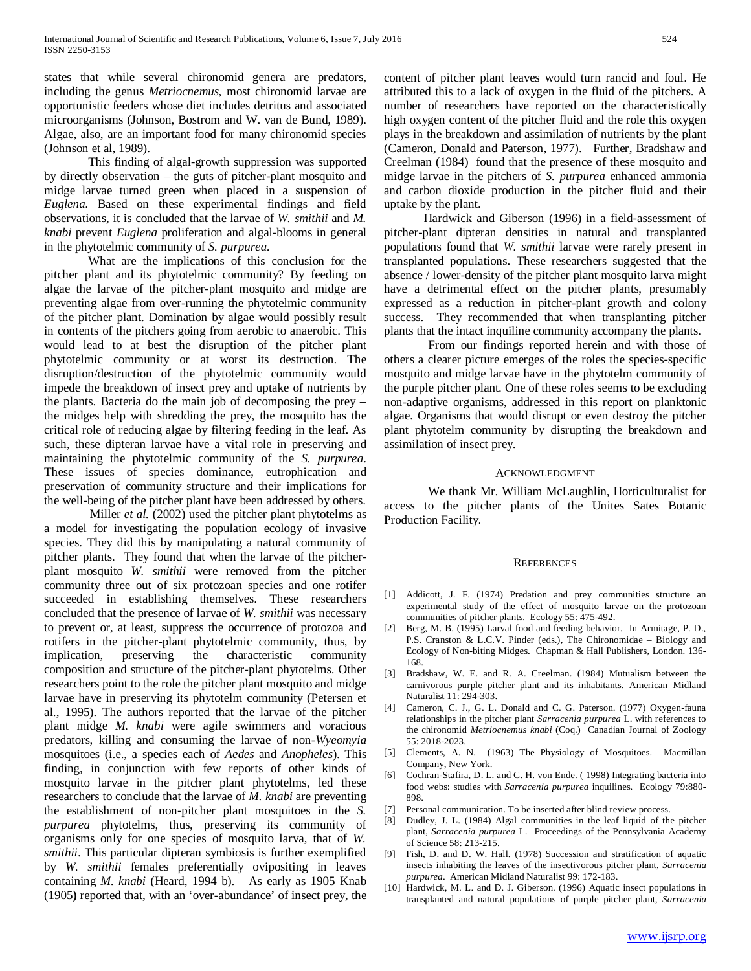states that while several chironomid genera are predators, including the genus *Metriocnemus,* most chironomid larvae are opportunistic feeders whose diet includes detritus and associated microorganisms (Johnson, Bostrom and W. van de Bund, 1989). Algae, also, are an important food for many chironomid species (Johnson et al, 1989).

 This finding of algal-growth suppression was supported by directly observation – the guts of pitcher-plant mosquito and midge larvae turned green when placed in a suspension of *Euglena*. Based on these experimental findings and field observations, it is concluded that the larvae of *W. smithii* and *M. knabi* prevent *Euglena* proliferation and algal-blooms in general in the phytotelmic community of *S. purpurea*.

What are the implications of this conclusion for the pitcher plant and its phytotelmic community? By feeding on algae the larvae of the pitcher-plant mosquito and midge are preventing algae from over-running the phytotelmic community of the pitcher plant. Domination by algae would possibly result in contents of the pitchers going from aerobic to anaerobic. This would lead to at best the disruption of the pitcher plant phytotelmic community or at worst its destruction. The disruption/destruction of the phytotelmic community would impede the breakdown of insect prey and uptake of nutrients by the plants. Bacteria do the main job of decomposing the prey – the midges help with shredding the prey, the mosquito has the critical role of reducing algae by filtering feeding in the leaf. As such, these dipteran larvae have a vital role in preserving and maintaining the phytotelmic community of the *S. purpurea*. These issues of species dominance, eutrophication and preservation of community structure and their implications for the well-being of the pitcher plant have been addressed by others.

Miller *et al.* (2002) used the pitcher plant phytotelms as a model for investigating the population ecology of invasive species. They did this by manipulating a natural community of pitcher plants. They found that when the larvae of the pitcherplant mosquito *W. smithii* were removed from the pitcher community three out of six protozoan species and one rotifer succeeded in establishing themselves. These researchers concluded that the presence of larvae of *W. smithii* was necessary to prevent or, at least, suppress the occurrence of protozoa and rotifers in the pitcher-plant phytotelmic community, thus, by implication, preserving the characteristic community composition and structure of the pitcher-plant phytotelms. Other researchers point to the role the pitcher plant mosquito and midge larvae have in preserving its phytotelm community (Petersen et al., 1995). The authors reported that the larvae of the pitcher plant midge *M. knabi* were agile swimmers and voracious predators, killing and consuming the larvae of non-*Wyeomyia* mosquitoes (i.e., a species each of *Aedes* and *Anopheles*). This finding, in conjunction with few reports of other kinds of mosquito larvae in the pitcher plant phytotelms, led these researchers to conclude that the larvae of *M. knabi* are preventing the establishment of non-pitcher plant mosquitoes in the *S. purpurea* phytotelms, thus, preserving its community of organisms only for one species of mosquito larva, that of *W. smithii*. This particular dipteran symbiosis is further exemplified by *W. smithii* females preferentially ovipositing in leaves containing *M. knabi* (Heard, 1994 b). As early as 1905 Knab (1905**)** reported that, with an 'over-abundance' of insect prey, the content of pitcher plant leaves would turn rancid and foul. He attributed this to a lack of oxygen in the fluid of the pitchers. A number of researchers have reported on the characteristically high oxygen content of the pitcher fluid and the role this oxygen plays in the breakdown and assimilation of nutrients by the plant (Cameron, Donald and Paterson, 1977). Further, Bradshaw and Creelman (1984) found that the presence of these mosquito and midge larvae in the pitchers of *S. purpurea* enhanced ammonia and carbon dioxide production in the pitcher fluid and their uptake by the plant.

 Hardwick and Giberson (1996) in a field-assessment of pitcher-plant dipteran densities in natural and transplanted populations found that *W. smithii* larvae were rarely present in transplanted populations. These researchers suggested that the absence / lower-density of the pitcher plant mosquito larva might have a detrimental effect on the pitcher plants, presumably expressed as a reduction in pitcher-plant growth and colony success. They recommended that when transplanting pitcher plants that the intact inquiline community accompany the plants.

 From our findings reported herein and with those of others a clearer picture emerges of the roles the species-specific mosquito and midge larvae have in the phytotelm community of the purple pitcher plant. One of these roles seems to be excluding non-adaptive organisms, addressed in this report on planktonic algae. Organisms that would disrupt or even destroy the pitcher plant phytotelm community by disrupting the breakdown and assimilation of insect prey.

#### ACKNOWLEDGMENT

We thank Mr. William McLaughlin, Horticulturalist for access to the pitcher plants of the Unites Sates Botanic Production Facility.

#### **REFERENCES**

- [1] Addicott, J. F. (1974) Predation and prey communities structure an experimental study of the effect of mosquito larvae on the protozoan communities of pitcher plants. Ecology 55: 475-492.
- [2] Berg, M. B. (1995) Larval food and feeding behavior. In Armitage, P. D., P.S. Cranston & L.C.V. Pinder (eds.), The Chironomidae – Biology and Ecology of Non-biting Midges. Chapman & Hall Publishers, London. 136- 168.
- [3] Bradshaw, W. E. and R. A. Creelman. (1984) Mutualism between the carnivorous purple pitcher plant and its inhabitants. American Midland Naturalist 11: 294-303.
- [4] Cameron, C. J., G. L. Donald and C. G. Paterson. (1977) Oxygen-fauna relationships in the pitcher plant *Sarracenia purpurea* L. with references to the chironomid *Metriocnemus knabi* (Coq.) Canadian Journal of Zoology 55: 2018-2023.
- [5] Clements, A. N. (1963) The Physiology of Mosquitoes. Macmillan Company, New York.
- [6] Cochran-Stafira, D. L. and C. H. von Ende. ( 1998) Integrating bacteria into food webs: studies with *Sarracenia purpurea* inquilines. Ecology 79:880- 898.
- [7] Personal communication. To be inserted after blind review process.
- [8] Dudley, J. L. (1984) Algal communities in the leaf liquid of the pitcher plant, *Sarracenia purpurea* L. Proceedings of the Pennsylvania Academy of Science 58: 213-215.
- [9] Fish, D. and D. W. Hall. (1978) Succession and stratification of aquatic insects inhabiting the leaves of the insectivorous pitcher plant, *Sarracenia purpurea*. American Midland Naturalist 99: 172-183.
- [10] Hardwick, M. L. and D. J. Giberson. (1996) Aquatic insect populations in transplanted and natural populations of purple pitcher plant, *Sarracenia*